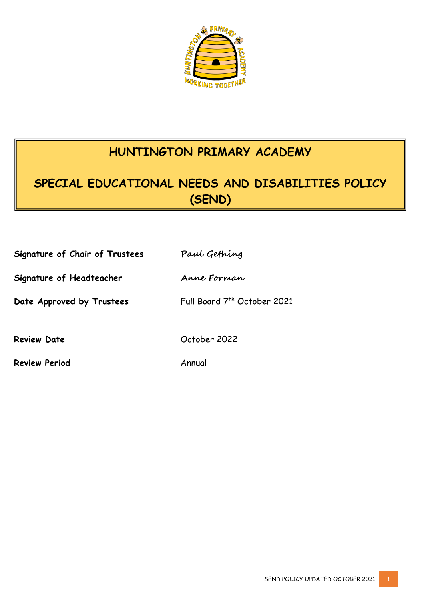

# **HUNTINGTON PRIMARY ACADEMY**

# **SPECIAL EDUCATIONAL NEEDS AND DISABILITIES POLICY (SEND)**

| Signature of Chair of Trustees | Paul Gething                |
|--------------------------------|-----------------------------|
| Signature of Headteacher       | Anne Forman                 |
| Date Approved by Trustees      | Full Board 7th October 2021 |
| <b>Review Date</b>             | October 2022                |
| <b>Review Period</b>           | Annual                      |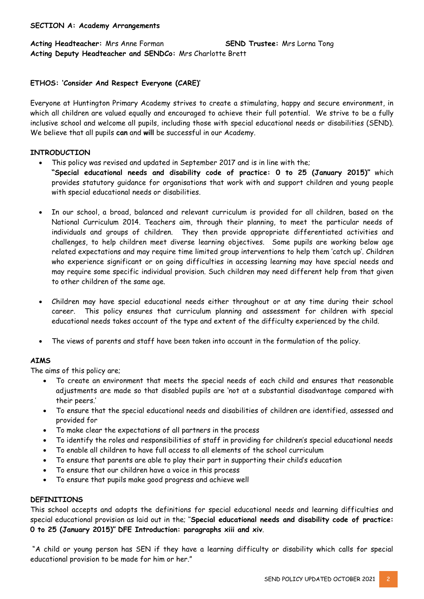#### **SECTION A: Academy Arrangements**

#### **Acting Headteacher:** Mrs Anne Forman **SEND Trustee:** Mrs Lorna Tong **Acting Deputy Headteacher and SENDCo:** Mrs Charlotte Brett

#### **ETHOS: 'Consider And Respect Everyone (CARE)'**

Everyone at Huntington Primary Academy strives to create a stimulating, happy and secure environment, in which all children are valued equally and encouraged to achieve their full potential. We strive to be a fully inclusive school and welcome all pupils, including those with special educational needs or disabilities (SEND). We believe that all pupils **can** and **will** be successful in our Academy.

#### **INTRODUCTION**

- This policy was revised and updated in September 2017 and is in line with the;
- **"Special educational needs and disability code of practice: 0 to 25 (January 2015)"** which provides statutory guidance for organisations that work with and support children and young people with special educational needs or disabilities.
- In our school, a broad, balanced and relevant curriculum is provided for all children, based on the National Curriculum 2014. Teachers aim, through their planning, to meet the particular needs of individuals and groups of children. They then provide appropriate differentiated activities and challenges, to help children meet diverse learning objectives. Some pupils are working below age related expectations and may require time limited group interventions to help them 'catch up'. Children who experience significant or on going difficulties in accessing learning may have special needs and may require some specific individual provision. Such children may need different help from that given to other children of the same age.
- Children may have special educational needs either throughout or at any time during their school career. This policy ensures that curriculum planning and assessment for children with special educational needs takes account of the type and extent of the difficulty experienced by the child.
- The views of parents and staff have been taken into account in the formulation of the policy.

#### **AIMS**

The aims of this policy are;

- To create an environment that meets the special needs of each child and ensures that reasonable adjustments are made so that disabled pupils are 'not at a substantial disadvantage compared with their peers.'
- To ensure that the special educational needs and disabilities of children are identified, assessed and provided for
- To make clear the expectations of all partners in the process
- To identify the roles and responsibilities of staff in providing for children's special educational needs
- To enable all children to have full access to all elements of the school curriculum
- To ensure that parents are able to play their part in supporting their child's education
- To ensure that our children have a voice in this process
- To ensure that pupils make good progress and achieve well

#### **DEFINITIONS**

This school accepts and adopts the definitions for special educational needs and learning difficulties and special educational provision as laid out in the; ''**Special educational needs and disability code of practice: 0 to 25 (January 2015)" DFE Introduction: paragraphs xiii and xiv**.

"A child or young person has SEN if they have a learning difficulty or disability which calls for special educational provision to be made for him or her."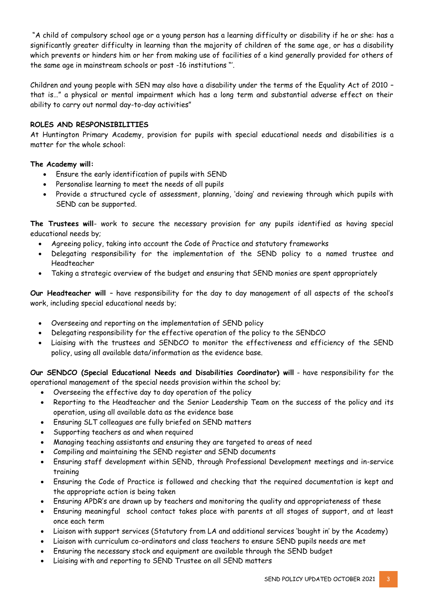"A child of compulsory school age or a young person has a learning difficulty or disability if he or she: has a significantly greater difficulty in learning than the majority of children of the same age, or has a disability which prevents or hinders him or her from making use of facilities of a kind generally provided for others of the same age in mainstream schools or post -16 institutions "'.

Children and young people with SEN may also have a disability under the terms of the Equality Act of 2010 – that is…" a physical or mental impairment which has a long term and substantial adverse effect on their ability to carry out normal day-to-day activities"

#### **ROLES AND RESPONSIBILITIES**

At Huntington Primary Academy, provision for pupils with special educational needs and disabilities is a matter for the whole school:

#### **The Academy will:**

- Ensure the early identification of pupils with SEND
- Personalise learning to meet the needs of all pupils
- Provide a structured cycle of assessment, planning, 'doing' and reviewing through which pupils with SEND can be supported.

**The Trustees will**- work to secure the necessary provision for any pupils identified as having special educational needs by;

- Agreeing policy, taking into account the Code of Practice and statutory frameworks
- Delegating responsibility for the implementation of the SEND policy to a named trustee and Headteacher
- Taking a strategic overview of the budget and ensuring that SEND monies are spent appropriately

**Our Headteacher will** – have responsibility for the day to day management of all aspects of the school's work, including special educational needs by;

- Overseeing and reporting on the implementation of SEND policy
- Delegating responsibility for the effective operation of the policy to the SENDCO
- Liaising with the trustees and SENDCO to monitor the effectiveness and efficiency of the SEND policy, using all available data/information as the evidence base.

**Our SENDCO (Special Educational Needs and Disabilities Coordinator) will** - have responsibility for the operational management of the special needs provision within the school by;

- Overseeing the effective day to day operation of the policy
- Reporting to the Headteacher and the Senior Leadership Team on the success of the policy and its operation, using all available data as the evidence base
- Ensuring SLT colleagues are fully briefed on SEND matters
- Supporting teachers as and when required
- Managing teaching assistants and ensuring they are targeted to areas of need
- Compiling and maintaining the SEND register and SEND documents
- Ensuring staff development within SEND, through Professional Development meetings and in-service training
- Ensuring the Code of Practice is followed and checking that the required documentation is kept and the appropriate action is being taken
- Ensuring APDR's are drawn up by teachers and monitoring the quality and appropriateness of these
- Ensuring meaningful school contact takes place with parents at all stages of support, and at least once each term
- Liaison with support services (Statutory from LA and additional services 'bought in' by the Academy)
- Liaison with curriculum co-ordinators and class teachers to ensure SEND pupils needs are met
- Ensuring the necessary stock and equipment are available through the SEND budget
- Liaising with and reporting to SEND Trustee on all SEND matters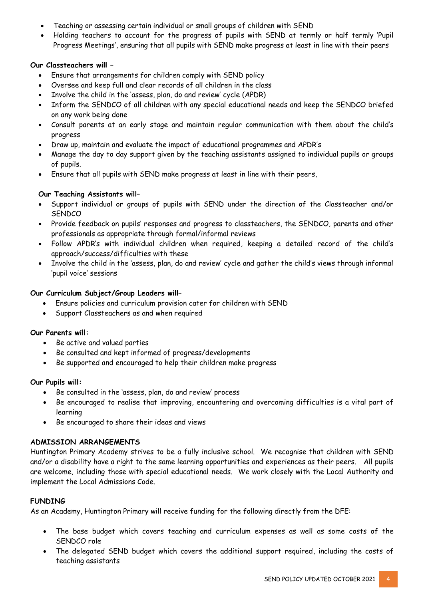- Teaching or assessing certain individual or small groups of children with SEND
- Holding teachers to account for the progress of pupils with SEND at termly or half termly 'Pupil Progress Meetings', ensuring that all pupils with SEND make progress at least in line with their peers

# **Our Classteachers will –**

- Ensure that arrangements for children comply with SEND policy
- Oversee and keep full and clear records of all children in the class
- Involve the child in the 'assess, plan, do and review' cycle (APDR)
- Inform the SENDCO of all children with any special educational needs and keep the SENDCO briefed on any work being done
- Consult parents at an early stage and maintain regular communication with them about the child's progress
- Draw up, maintain and evaluate the impact of educational programmes and APDR's
- Manage the day to day support given by the teaching assistants assigned to individual pupils or groups of pupils.
- Ensure that all pupils with SEND make progress at least in line with their peers,

# **Our Teaching Assistants will–**

- Support individual or groups of pupils with SEND under the direction of the Classteacher and/or **SENDCO**
- Provide feedback on pupils' responses and progress to classteachers, the SENDCO, parents and other professionals as appropriate through formal/informal reviews
- Follow APDR's with individual children when required, keeping a detailed record of the child's approach/success/difficulties with these
- Involve the child in the 'assess, plan, do and review' cycle and gather the child's views through informal 'pupil voice' sessions

# **Our Curriculum Subject/Group Leaders will–**

- Ensure policies and curriculum provision cater for children with SEND
- Support Classteachers as and when required

# **Our Parents will:**

- Be active and valued parties
- Be consulted and kept informed of progress/developments
- Be supported and encouraged to help their children make progress

# **Our Pupils will:**

- Be consulted in the 'assess, plan, do and review' process
- Be encouraged to realise that improving, encountering and overcoming difficulties is a vital part of learning
- Be encouraged to share their ideas and views

# **ADMISSION ARRANGEMENTS**

Huntington Primary Academy strives to be a fully inclusive school. We recognise that children with SEND and/or a disability have a right to the same learning opportunities and experiences as their peers. All pupils are welcome, including those with special educational needs. We work closely with the Local Authority and implement the Local Admissions Code.

# **FUNDING**

As an Academy, Huntington Primary will receive funding for the following directly from the DFE:

- The base budget which covers teaching and curriculum expenses as well as some costs of the SENDCO role
- The delegated SEND budget which covers the additional support required, including the costs of teaching assistants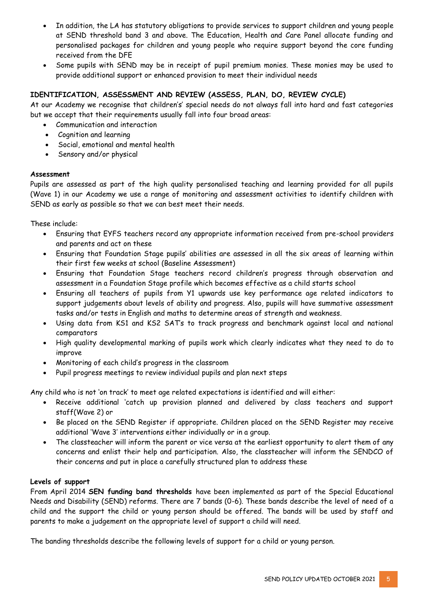- In addition, the LA has statutory obligations to provide services to support children and young people at SEND threshold band 3 and above. The Education, Health and Care Panel allocate funding and personalised packages for children and young people who require support beyond the core funding received from the DFE
- Some pupils with SEND may be in receipt of pupil premium monies. These monies may be used to provide additional support or enhanced provision to meet their individual needs

### **IDENTIFICATION, ASSESSMENT AND REVIEW (ASSESS, PLAN, DO, REVIEW CYCLE)**

At our Academy we recognise that children's' special needs do not always fall into hard and fast categories but we accept that their requirements usually fall into four broad areas:

- Communication and interaction
- Cognition and learning
- Social, emotional and mental health
- Sensory and/or physical

#### **Assessment**

Pupils are assessed as part of the high quality personalised teaching and learning provided for all pupils (Wave 1) in our Academy we use a range of monitoring and assessment activities to identify children with SEND as early as possible so that we can best meet their needs.

These include:

- Ensuring that EYFS teachers record any appropriate information received from pre-school providers and parents and act on these
- Ensuring that Foundation Stage pupils' abilities are assessed in all the six areas of learning within their first few weeks at school (Baseline Assessment)
- Ensuring that Foundation Stage teachers record children's progress through observation and assessment in a Foundation Stage profile which becomes effective as a child starts school
- Ensuring all teachers of pupils from Y1 upwards use key performance age related indicators to support judgements about levels of ability and progress. Also, pupils will have summative assessment tasks and/or tests in English and maths to determine areas of strength and weakness.
- Using data from KS1 and KS2 SAT's to track progress and benchmark against local and national comparators
- High quality developmental marking of pupils work which clearly indicates what they need to do to improve
- Monitoring of each child's progress in the classroom
- Pupil progress meetings to review individual pupils and plan next steps

Any child who is not 'on track' to meet age related expectations is identified and will either:

- Receive additional 'catch up provision planned and delivered by class teachers and support staff(Wave 2) or
- Be placed on the SEND Register if appropriate. Children placed on the SEND Register may receive additional 'Wave 3' interventions either individually or in a group.
- The classteacher will inform the parent or vice versa at the earliest opportunity to alert them of any concerns and enlist their help and participation. Also, the classteacher will inform the SENDCO of their concerns and put in place a carefully structured plan to address these

#### **Levels of support**

From April 2014 **SEN funding band thresholds** have been implemented as part of the Special Educational Needs and Disability (SEND) reforms. There are 7 bands (0-6). These bands describe the level of need of a child and the support the child or young person should be offered. The bands will be used by staff and parents to make a judgement on the appropriate level of support a child will need.

The banding thresholds describe the following levels of support for a child or young person.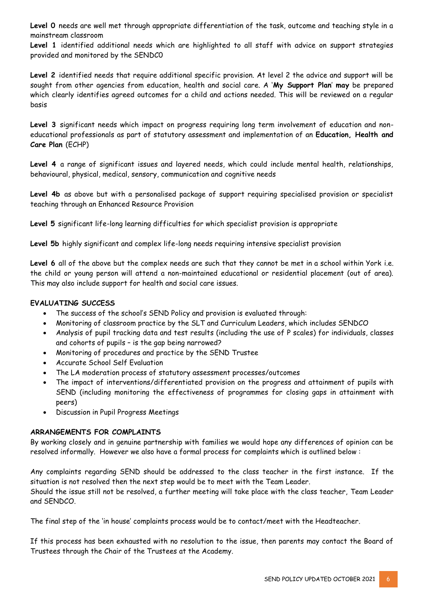**Level 0** needs are well met through appropriate differentiation of the task, outcome and teaching style in a mainstream classroom

Level 1 identified additional needs which are highlighted to all staff with advice on support strategies provided and monitored by the SENDC0

**Level 2** identified needs that require additional specific provision. At level 2 the advice and support will be sought from other agencies from education, health and social care. A '**My Support Plan**' **may** be prepared which clearly identifies agreed outcomes for a child and actions needed. This will be reviewed on a regular basis

**Level 3** significant needs which impact on progress requiring long term involvement of education and noneducational professionals as part of statutory assessment and implementation of an **Education, Health and Care Plan** (ECHP)

**Level 4** a range of significant issues and layered needs, which could include mental health, relationships, behavioural, physical, medical, sensory, communication and cognitive needs

Level 4b as above but with a personalised package of support requiring specialised provision or specialist teaching through an Enhanced Resource Provision

**Level 5** significant life-long learning difficulties for which specialist provision is appropriate

**Level 5b** highly significant and complex life-long needs requiring intensive specialist provision

**Level 6** all of the above but the complex needs are such that they cannot be met in a school within York i.e. the child or young person will attend a non-maintained educational or residential placement (out of area). This may also include support for health and social care issues.

#### **EVALUATING SUCCESS**

- The success of the school's SEND Policy and provision is evaluated through:
- Monitoring of classroom practice by the SLT and Curriculum Leaders, which includes SENDCO
- Analysis of pupil tracking data and test results (including the use of P scales) for individuals, classes and cohorts of pupils – is the gap being narrowed?
- Monitoring of procedures and practice by the SEND Trustee
- Accurate School Self Evaluation
- The LA moderation process of statutory assessment processes/outcomes
- The impact of interventions/differentiated provision on the progress and attainment of pupils with SEND (including monitoring the effectiveness of programmes for closing gaps in attainment with peers)
- Discussion in Pupil Progress Meetings

#### **ARRANGEMENTS FOR COMPLAINTS**

By working closely and in genuine partnership with families we would hope any differences of opinion can be resolved informally. However we also have a formal process for complaints which is outlined below :

Any complaints regarding SEND should be addressed to the class teacher in the first instance. If the situation is not resolved then the next step would be to meet with the Team Leader.

Should the issue still not be resolved, a further meeting will take place with the class teacher, Team Leader and SENDCO.

The final step of the 'in house' complaints process would be to contact/meet with the Headteacher.

If this process has been exhausted with no resolution to the issue, then parents may contact the Board of Trustees through the Chair of the Trustees at the Academy.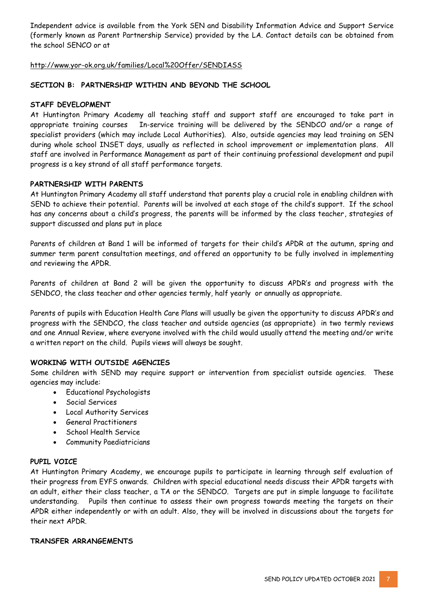Independent advice is available from the York SEN and Disability Information Advice and Support Service (formerly known as Parent Partnership Service) provided by the LA. Contact details can be obtained from the school SENCO or at

#### http://www.yor-ok.org.uk/families/Local%20Offer/SENDIASS

#### **SECTION B: PARTNERSHIP WITHIN AND BEYOND THE SCHOOL**

#### **STAFF DEVELOPMENT**

At Huntington Primary Academy all teaching staff and support staff are encouraged to take part in appropriate training courses In-service training will be delivered by the SENDCO and/or a range of specialist providers (which may include Local Authorities). Also, outside agencies may lead training on SEN during whole school INSET days, usually as reflected in school improvement or implementation plans. All staff are involved in Performance Management as part of their continuing professional development and pupil progress is a key strand of all staff performance targets.

#### **PARTNERSHIP WITH PARENTS**

At Huntington Primary Academy all staff understand that parents play a crucial role in enabling children with SEND to achieve their potential. Parents will be involved at each stage of the child's support. If the school has any concerns about a child's progress, the parents will be informed by the class teacher, strategies of support discussed and plans put in place

Parents of children at Band 1 will be informed of targets for their child's APDR at the autumn, spring and summer term parent consultation meetings, and offered an opportunity to be fully involved in implementing and reviewing the APDR.

Parents of children at Band 2 will be given the opportunity to discuss APDR's and progress with the SENDCO, the class teacher and other agencies termly, half yearly or annually as appropriate.

Parents of pupils with Education Health Care Plans will usually be given the opportunity to discuss APDR's and progress with the SENDCO, the class teacher and outside agencies (as appropriate) in two termly reviews and one Annual Review, where everyone involved with the child would usually attend the meeting and/or write a written report on the child. Pupils views will always be sought.

#### **WORKING WITH OUTSIDE AGENCIES**

Some children with SEND may require support or intervention from specialist outside agencies. These agencies may include:

- Educational Psychologists
- Social Services
- Local Authority Services
- General Practitioners
- School Health Service
- Community Paediatricians

#### **PUPIL VOICE**

At Huntington Primary Academy, we encourage pupils to participate in learning through self evaluation of their progress from EYFS onwards. Children with special educational needs discuss their APDR targets with an adult, either their class teacher, a TA or the SENDCO. Targets are put in simple language to facilitate understanding. Pupils then continue to assess their own progress towards meeting the targets on their APDR either independently or with an adult. Also, they will be involved in discussions about the targets for their next APDR.

#### **TRANSFER ARRANGEMENTS**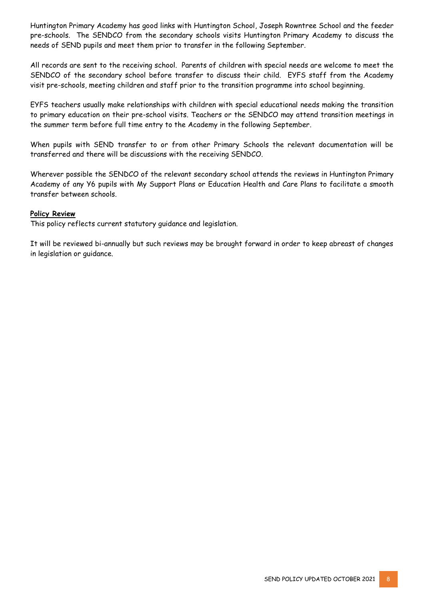Huntington Primary Academy has good links with Huntington School, Joseph Rowntree School and the feeder pre-schools. The SENDCO from the secondary schools visits Huntington Primary Academy to discuss the needs of SEND pupils and meet them prior to transfer in the following September.

All records are sent to the receiving school. Parents of children with special needs are welcome to meet the SENDCO of the secondary school before transfer to discuss their child. EYFS staff from the Academy visit pre-schools, meeting children and staff prior to the transition programme into school beginning.

EYFS teachers usually make relationships with children with special educational needs making the transition to primary education on their pre-school visits. Teachers or the SENDCO may attend transition meetings in the summer term before full time entry to the Academy in the following September.

When pupils with SEND transfer to or from other Primary Schools the relevant documentation will be transferred and there will be discussions with the receiving SENDCO.

Wherever possible the SENDCO of the relevant secondary school attends the reviews in Huntington Primary Academy of any Y6 pupils with My Support Plans or Education Health and Care Plans to facilitate a smooth transfer between schools.

#### **Policy Review**

This policy reflects current statutory guidance and legislation.

It will be reviewed bi-annually but such reviews may be brought forward in order to keep abreast of changes in legislation or guidance.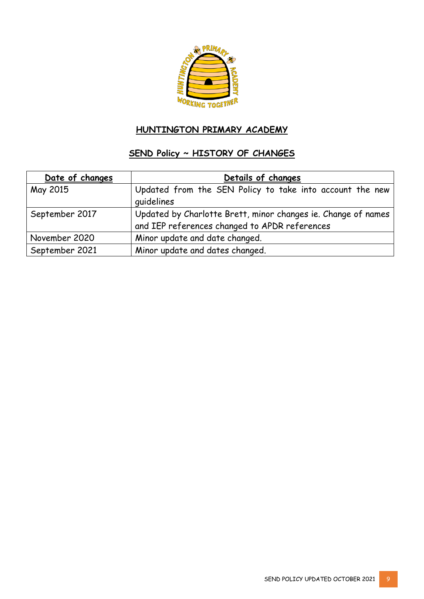

# **HUNTINGTON PRIMARY ACADEMY**

# **SEND Policy ~ HISTORY OF CHANGES**

| Date of changes | Details of changes                                                                                             |
|-----------------|----------------------------------------------------------------------------------------------------------------|
| May 2015        | Updated from the SEN Policy to take into account the new<br>quidelines                                         |
| September 2017  | Updated by Charlotte Brett, minor changes ie. Change of names<br>and IEP references changed to APDR references |
| November 2020   | Minor update and date changed.                                                                                 |
| September 2021  | Minor update and dates changed.                                                                                |